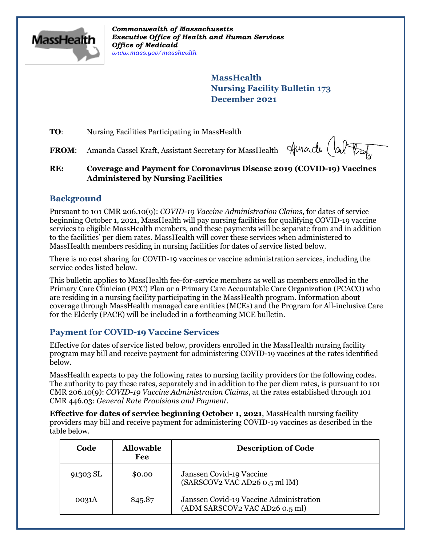

*Commonwealth of Massachusetts Executive Office of Health and Human Services Office of Medicaid [www.mass.gov/masshealth](http://www.mass.gov/masshealth)*

> **MassHealth Nursing Facility Bulletin 173 December 2021**

**TO:** Nursing Facilities Participating in MassHealth

**FROM**: Amanda Cassel Kraft, Assistant Secretary for MassHealth

Amarde (ab

## **RE: Coverage and Payment for Coronavirus Disease 2019 (COVID-19) Vaccines Administered by Nursing Facilities**

## **Background**

Pursuant to 101 CMR 206.10(9): *COVID-19 Vaccine Administration Claims*, for dates of service beginning October 1, 2021, MassHealth will pay nursing facilities for qualifying COVID-19 vaccine services to eligible MassHealth members, and these payments will be separate from and in addition to the facilities' per diem rates. MassHealth will cover these services when administered to MassHealth members residing in nursing facilities for dates of service listed below.

There is no cost sharing for COVID-19 vaccines or vaccine administration services, including the service codes listed below.

This bulletin applies to MassHealth fee-for-service members as well as members enrolled in the Primary Care Clinician (PCC) Plan or a Primary Care Accountable Care Organization (PCACO) who are residing in a nursing facility participating in the MassHealth program. Information about coverage through MassHealth managed care entities (MCEs) and the Program for All-inclusive Care for the Elderly (PACE) will be included in a forthcoming MCE bulletin.

## **Payment for COVID-19 Vaccine Services**

Effective for dates of service listed below, providers enrolled in the MassHealth nursing facility program may bill and receive payment for administering COVID-19 vaccines at the rates identified below.

MassHealth expects to pay the following rates to nursing facility providers for the following codes. The authority to pay these rates, separately and in addition to the per diem rates, is pursuant to 101 CMR 206.10(9): *COVID-19 Vaccine Administration Claims*, at the rates established through 101 CMR 446.03: *General Rate Provisions and Payment*.

**Effective for dates of service beginning October 1, 2021**, MassHealth nursing facility providers may bill and receive payment for administering COVID-19 vaccines as described in the table below.

| Code     | <b>Allowable</b><br>Fee | <b>Description of Code</b>                                                |
|----------|-------------------------|---------------------------------------------------------------------------|
| 91303 SL | \$0.00                  | Janssen Covid-19 Vaccine<br>(SARSCOV2 VAC AD26 0.5 ml IM)                 |
| 0031A    | \$45.87                 | Janssen Covid-19 Vaccine Administration<br>(ADM SARSCOV2 VAC AD26 0.5 ml) |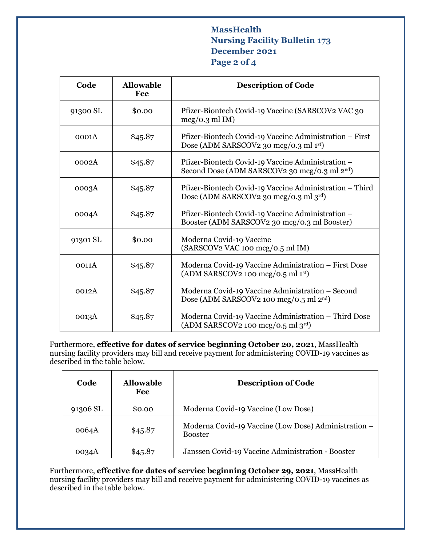## **MassHealth Nursing Facility Bulletin 173 December 2021 Page 2 of 4**

| Code     | <b>Allowable</b><br>Fee | <b>Description of Code</b>                                                                                     |
|----------|-------------------------|----------------------------------------------------------------------------------------------------------------|
| 91300 SL | \$0.00                  | Pfizer-Biontech Covid-19 Vaccine (SARSCOV2 VAC 30<br>$mcg/0.3$ ml IM)                                          |
| 0001A    | \$45.87                 | Pfizer-Biontech Covid-19 Vaccine Administration - First<br>Dose (ADM SARSCOV2 30 mcg/0.3 ml 1st)               |
| 0002A    | \$45.87                 | Pfizer-Biontech Covid-19 Vaccine Administration -<br>Second Dose (ADM SARSCOV2 30 mcg/0.3 ml 2 <sup>nd</sup> ) |
| 0003A    | \$45.87                 | Pfizer-Biontech Covid-19 Vaccine Administration – Third<br>Dose (ADM SARSCOV2 30 mcg/0.3 ml 3rd)               |
| 0004A    | \$45.87                 | Pfizer-Biontech Covid-19 Vaccine Administration -<br>Booster (ADM SARSCOV2 30 mcg/0.3 ml Booster)              |
| 91301 SL | \$0.00                  | Moderna Covid-19 Vaccine<br>(SARSCOV2 VAC 100 mcg/0.5 ml IM)                                                   |
| 0011A    | \$45.87                 | Moderna Covid-19 Vaccine Administration - First Dose<br>$(ADM SARSCOV2 100 mg/0.5 ml 1st)$                     |
| 0012A    | \$45.87                 | Moderna Covid-19 Vaccine Administration - Second<br>Dose (ADM SARSCOV2 100 mcg/0.5 ml 2 <sup>nd</sup> )        |
| 0013A    | \$45.87                 | Moderna Covid-19 Vaccine Administration – Third Dose<br>$(ADM SARSCOV2 100 mg/0.5 ml 3rd)$                     |

Furthermore, **effective for dates of service beginning October 20, 2021**, MassHealth nursing facility providers may bill and receive payment for administering COVID-19 vaccines as described in the table below.

| Code     | <b>Allowable</b><br>Fee | <b>Description of Code</b>                                             |
|----------|-------------------------|------------------------------------------------------------------------|
| 91306 SL | \$0.00                  | Moderna Covid-19 Vaccine (Low Dose)                                    |
| 0064A    | \$45.87                 | Moderna Covid-19 Vaccine (Low Dose) Administration –<br><b>Booster</b> |
| 0034A    | \$45.87                 | Janssen Covid-19 Vaccine Administration - Booster                      |

Furthermore, **effective for dates of service beginning October 29, 2021**, MassHealth nursing facility providers may bill and receive payment for administering COVID-19 vaccines as described in the table below.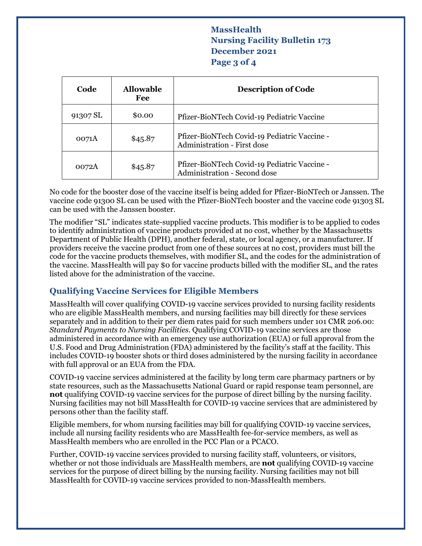# **MassHealth Nursing Facility Bulletin 173 December 2021 Page 3 of 4**

| Code     | <b>Allowable</b><br>Fee | <b>Description of Code</b>                                                         |
|----------|-------------------------|------------------------------------------------------------------------------------|
| 91307 SL | \$0.00                  | Pfizer-BioNTech Covid-19 Pediatric Vaccine                                         |
| 0071A    | \$45.87                 | Pfizer-BioNTech Covid-19 Pediatric Vaccine -<br><b>Administration - First dose</b> |
| 0072A    | \$45.87                 | Pfizer-BioNTech Covid-19 Pediatric Vaccine -<br>Administration - Second dose       |

No code for the booster dose of the vaccine itself is being added for Pfizer-BioNTech or Janssen. The vaccine code 91300 SL can be used with the Pfizer-BioNTech booster and the vaccine code 91303 SL can be used with the Janssen booster.

The modifier "SL" indicates state-supplied vaccine products. This modifier is to be applied to codes to identify administration of vaccine products provided at no cost, whether by the Massachusetts Department of Public Health (DPH), another federal, state, or local agency, or a manufacturer. If providers receive the vaccine product from one of these sources at no cost, providers must bill the code for the vaccine products themselves, with modifier SL, and the codes for the administration of the vaccine. MassHealth will pay \$0 for vaccine products billed with the modifier SL, and the rates listed above for the administration of the vaccine.

# **Qualifying Vaccine Services for Eligible Members**

MassHealth will cover qualifying COVID-19 vaccine services provided to nursing facility residents who are eligible MassHealth members, and nursing facilities may bill directly for these services separately and in addition to their per diem rates paid for such members under 101 CMR 206.00: *Standard Payments to Nursing Facilities*. Qualifying COVID-19 vaccine services are those administered in accordance with an emergency use authorization (EUA) or full approval from the U.S. Food and Drug Administration (FDA) administered by the facility's staff at the facility. This includes COVID-19 booster shots or third doses administered by the nursing facility in accordance with full approval or an EUA from the FDA.

COVID-19 vaccine services administered at the facility by long term care pharmacy partners or by state resources, such as the Massachusetts National Guard or rapid response team personnel, are **not** qualifying COVID-19 vaccine services for the purpose of direct billing by the nursing facility. Nursing facilities may not bill MassHealth for COVID-19 vaccine services that are administered by persons other than the facility staff.

Eligible members, for whom nursing facilities may bill for qualifying COVID-19 vaccine services, include all nursing facility residents who are MassHealth fee-for-service members, as well as MassHealth members who are enrolled in the PCC Plan or a PCACO.

Further, COVID-19 vaccine services provided to nursing facility staff, volunteers, or visitors, whether or not those individuals are MassHealth members, are **not** qualifying COVID-19 vaccine services for the purpose of direct billing by the nursing facility. Nursing facilities may not bill MassHealth for COVID-19 vaccine services provided to non-MassHealth members.